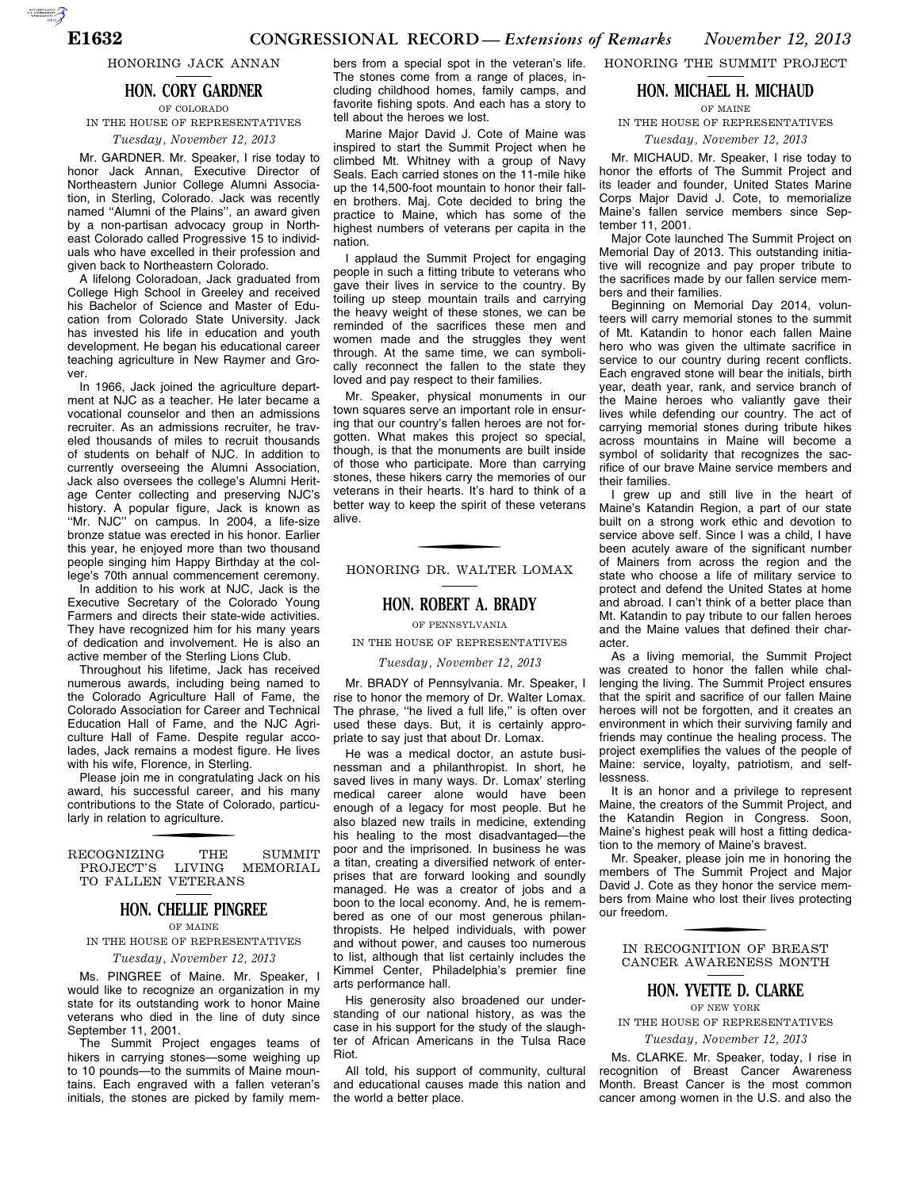HONORING JACK ANNAN

## **HON. CORY GARDNER** OF COLORADO

# IN THE HOUSE OF REPRESENTATIVES

*Tuesday, November 12, 2013* 

Mr. GARDNER. Mr. Speaker, I rise today to honor Jack Annan, Executive Director of Northeastern Junior College Alumni Association, in Sterling, Colorado. Jack was recently named ''Alumni of the Plains'', an award given by a non-partisan advocacy group in Northeast Colorado called Progressive 15 to individuals who have excelled in their profession and given back to Northeastern Colorado.

A lifelong Coloradoan, Jack graduated from College High School in Greeley and received his Bachelor of Science and Master of Education from Colorado State University. Jack has invested his life in education and youth development. He began his educational career teaching agriculture in New Raymer and Grover.

In 1966, Jack joined the agriculture department at NJC as a teacher. He later became a vocational counselor and then an admissions recruiter. As an admissions recruiter, he traveled thousands of miles to recruit thousands of students on behalf of NJC. In addition to currently overseeing the Alumni Association, Jack also oversees the college's Alumni Heritage Center collecting and preserving NJC's history. A popular figure, Jack is known as ''Mr. NJC'' on campus. In 2004, a life-size bronze statue was erected in his honor. Earlier this year, he enjoyed more than two thousand people singing him Happy Birthday at the college's 70th annual commencement ceremony.

In addition to his work at NJC, Jack is the Executive Secretary of the Colorado Young Farmers and directs their state-wide activities. They have recognized him for his many years of dedication and involvement. He is also an active member of the Sterling Lions Club.

Throughout his lifetime, Jack has received numerous awards, including being named to the Colorado Agriculture Hall of Fame, the Colorado Association for Career and Technical Education Hall of Fame, and the NJC Agriculture Hall of Fame. Despite regular accolades, Jack remains a modest figure. He lives with his wife, Florence, in Sterling.

Please join me in congratulating Jack on his award, his successful career, and his many contributions to the State of Colorado, particularly in relation to agriculture.

RECOGNIZING THE SUMMIT PROJECT'S LIVING MEMORIAL PROJECT'S LIVING MEMORIAL TO FALLEN VETERANS

# **HON. CHELLIE PINGREE**

### OF MAINE

IN THE HOUSE OF REPRESENTATIVES *Tuesday, November 12, 2013* 

Ms. PINGREE of Maine. Mr. Speaker, I would like to recognize an organization in my state for its outstanding work to honor Maine veterans who died in the line of duty since September 11, 2001.

The Summit Project engages teams of hikers in carrying stones—some weighing up to 10 pounds—to the summits of Maine mountains. Each engraved with a fallen veteran's initials, the stones are picked by family mem-

bers from a special spot in the veteran's life. The stones come from a range of places, including childhood homes, family camps, and favorite fishing spots. And each has a story to tell about the heroes we lost.

Marine Major David J. Cote of Maine was inspired to start the Summit Project when he climbed Mt. Whitney with a group of Navy Seals. Each carried stones on the 11-mile hike up the 14,500-foot mountain to honor their fallen brothers. Maj. Cote decided to bring the practice to Maine, which has some of the highest numbers of veterans per capita in the nation.

I applaud the Summit Project for engaging people in such a fitting tribute to veterans who gave their lives in service to the country. By toiling up steep mountain trails and carrying the heavy weight of these stones, we can be reminded of the sacrifices these men and women made and the struggles they went through. At the same time, we can symbolically reconnect the fallen to the state they loved and pay respect to their families.

Mr. Speaker, physical monuments in our town squares serve an important role in ensuring that our country's fallen heroes are not forgotten. What makes this project so special, though, is that the monuments are built inside of those who participate. More than carrying stones, these hikers carry the memories of our veterans in their hearts. It's hard to think of a better way to keep the spirit of these veterans alive.

HONORING DR. WALTER LOMAX

## **HON. ROBERT A. BRADY**

OF PENNSYLVANIA

IN THE HOUSE OF REPRESENTATIVES

*Tuesday, November 12, 2013* 

Mr. BRADY of Pennsylvania. Mr. Speaker, I rise to honor the memory of Dr. Walter Lomax. The phrase, ''he lived a full life,'' is often over used these days. But, it is certainly appropriate to say just that about Dr. Lomax.

He was a medical doctor, an astute businessman and a philanthropist. In short, he saved lives in many ways. Dr. Lomax' sterling medical career alone would have been enough of a legacy for most people. But he also blazed new trails in medicine, extending his healing to the most disadvantaged—the poor and the imprisoned. In business he was a titan, creating a diversified network of enterprises that are forward looking and soundly managed. He was a creator of jobs and a boon to the local economy. And, he is remembered as one of our most generous philanthropists. He helped individuals, with power and without power, and causes too numerous to list, although that list certainly includes the Kimmel Center, Philadelphia's premier fine arts performance hall.

His generosity also broadened our understanding of our national history, as was the case in his support for the study of the slaughter of African Americans in the Tulsa Race Riot.

All told, his support of community, cultural and educational causes made this nation and the world a better place.

HONORING THE SUMMIT PROJECT

### **HON. MICHAEL H. MICHAUD** OF MAINE

IN THE HOUSE OF REPRESENTATIVES

*Tuesday, November 12, 2013* 

Mr. MICHAUD. Mr. Speaker, I rise today to honor the efforts of The Summit Project and its leader and founder, United States Marine Corps Major David J. Cote, to memorialize Maine's fallen service members since September 11, 2001.

Major Cote launched The Summit Project on Memorial Day of 2013. This outstanding initiative will recognize and pay proper tribute to the sacrifices made by our fallen service members and their families.

Beginning on Memorial Day 2014, volunteers will carry memorial stones to the summit of Mt. Katandin to honor each fallen Maine hero who was given the ultimate sacrifice in service to our country during recent conflicts. Each engraved stone will bear the initials, birth year, death year, rank, and service branch of the Maine heroes who valiantly gave their lives while defending our country. The act of carrying memorial stones during tribute hikes across mountains in Maine will become a symbol of solidarity that recognizes the sacrifice of our brave Maine service members and their families.

I grew up and still live in the heart of Maine's Katandin Region, a part of our state built on a strong work ethic and devotion to service above self. Since I was a child, I have been acutely aware of the significant number of Mainers from across the region and the state who choose a life of military service to protect and defend the United States at home and abroad. I can't think of a better place than Mt. Katandin to pay tribute to our fallen heroes and the Maine values that defined their character.

As a living memorial, the Summit Project was created to honor the fallen while challenging the living. The Summit Project ensures that the spirit and sacrifice of our fallen Maine heroes will not be forgotten, and it creates an environment in which their surviving family and friends may continue the healing process. The project exemplifies the values of the people of Maine: service, loyalty, patriotism, and selflessness.

It is an honor and a privilege to represent Maine, the creators of the Summit Project, and the Katandin Region in Congress. Soon, Maine's highest peak will host a fitting dedication to the memory of Maine's bravest.

Mr. Speaker, please join me in honoring the members of The Summit Project and Major David J. Cote as they honor the service members from Maine who lost their lives protecting our freedom.

f IN RECOGNITION OF BREAST CANCER AWARENESS MONTH

## **HON. YVETTE D. CLARKE**

OF NEW YORK IN THE HOUSE OF REPRESENTATIVES

*Tuesday, November 12, 2013* 

Ms. CLARKE. Mr. Speaker, today, I rise in recognition of Breast Cancer Awareness Month. Breast Cancer is the most common cancer among women in the U.S. and also the

AUTOROTOMICALE